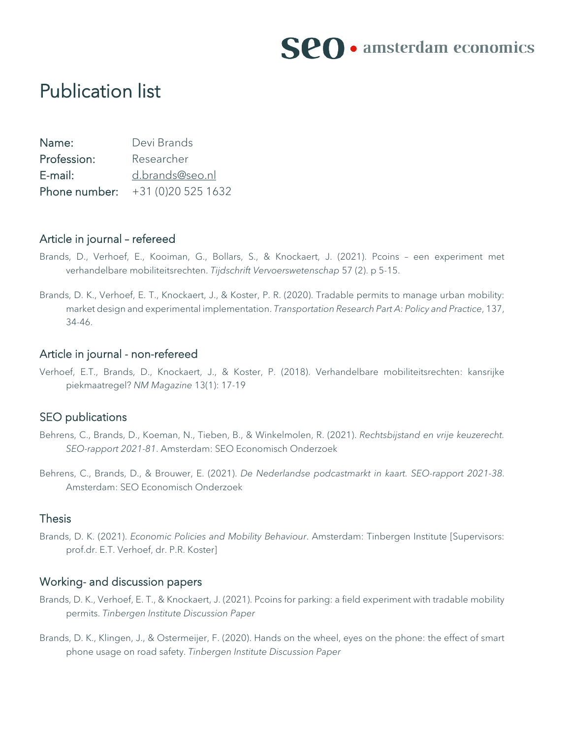

# Publication list

| Name:       | Devi Brands                     |
|-------------|---------------------------------|
| Profession: | Researcher                      |
| E-mail:     | d.brands@seo.nl                 |
|             | Phone number: $+31(0)205251632$ |

#### Article in journal – refereed

- Brands, D., Verhoef, E., Kooiman, G., Bollars, S., & Knockaert, J. (2021). Pcoins een experiment met verhandelbare mobiliteitsrechten. *Tijdschrift Vervoerswetenschap* 57 (2). p 5-15.
- Brands, D. K., Verhoef, E. T., Knockaert, J., & Koster, P. R. (2020). Tradable permits to manage urban mobility: market design and experimental implementation. *Transportation Research Part A: Policy and Practice*, 137, 34-46.

# Article in journal - non-refereed

Verhoef, E.T., Brands, D., Knockaert, J., & Koster, P. (2018). Verhandelbare mobiliteitsrechten: kansrijke piekmaatregel? *NM Magazine* 13(1): 17-19

#### SEO publications

- Behrens, C., Brands, D., Koeman, N., Tieben, B., & Winkelmolen, R. (2021). *Rechtsbijstand en vrije keuzerecht. SEO-rapport 2021-81*. Amsterdam: SEO Economisch Onderzoek
- Behrens, C., Brands, D., & Brouwer, E. (2021). *De Nederlandse podcastmarkt in kaart. SEO-rapport 2021-38*. Amsterdam: SEO Economisch Onderzoek

# Thesis

Brands, D. K. (2021). *Economic Policies and Mobility Behaviour*. Amsterdam: Tinbergen Institute [Supervisors: prof.dr. E.T. Verhoef, dr. P.R. Koster]

## Working- and discussion papers

- Brands, D. K., Verhoef, E. T., & Knockaert, J. (2021). Pcoins for parking: a field experiment with tradable mobility permits. *Tinbergen Institute Discussion Paper*
- Brands, D. K., Klingen, J., & Ostermeijer, F. (2020). Hands on the wheel, eyes on the phone: the effect of smart phone usage on road safety. *Tinbergen Institute Discussion Paper*